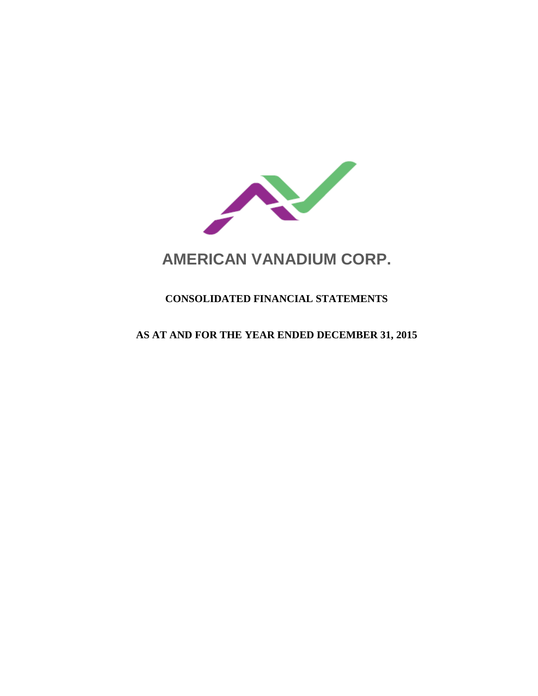

# **AMERICAN VANADIUM CORP.**

## **CONSOLIDATED FINANCIAL STATEMENTS**

## **AS AT AND FOR THE YEAR ENDED DECEMBER 31, 2015**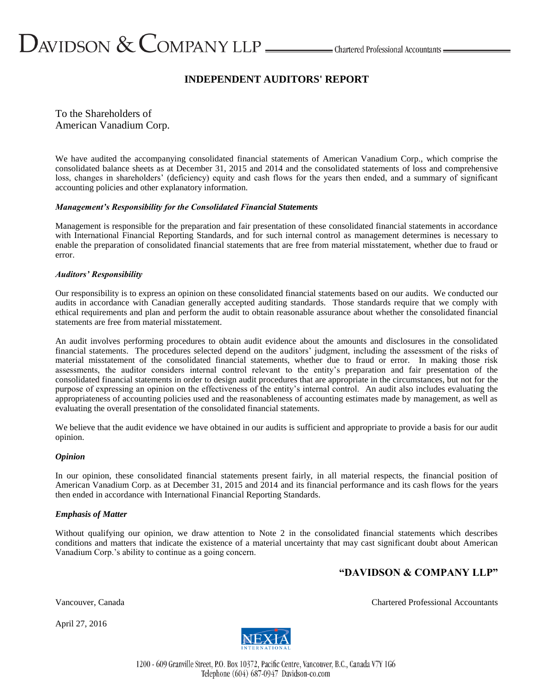## **INDEPENDENT AUDITORS' REPORT**

To the Shareholders of American Vanadium Corp.

We have audited the accompanying consolidated financial statements of American Vanadium Corp., which comprise the consolidated balance sheets as at December 31, 2015 and 2014 and the consolidated statements of loss and comprehensive loss, changes in shareholders' (deficiency) equity and cash flows for the years then ended, and a summary of significant accounting policies and other explanatory information.

## *Management's Responsibility for the Consolidated Financial Statements*

Management is responsible for the preparation and fair presentation of these consolidated financial statements in accordance with International Financial Reporting Standards, and for such internal control as management determines is necessary to enable the preparation of consolidated financial statements that are free from material misstatement, whether due to fraud or error.

## *Auditors' Responsibility*

Our responsibility is to express an opinion on these consolidated financial statements based on our audits. We conducted our audits in accordance with Canadian generally accepted auditing standards. Those standards require that we comply with ethical requirements and plan and perform the audit to obtain reasonable assurance about whether the consolidated financial statements are free from material misstatement.

An audit involves performing procedures to obtain audit evidence about the amounts and disclosures in the consolidated financial statements. The procedures selected depend on the auditors' judgment, including the assessment of the risks of material misstatement of the consolidated financial statements, whether due to fraud or error. In making those risk assessments, the auditor considers internal control relevant to the entity's preparation and fair presentation of the consolidated financial statements in order to design audit procedures that are appropriate in the circumstances, but not for the purpose of expressing an opinion on the effectiveness of the entity's internal control. An audit also includes evaluating the appropriateness of accounting policies used and the reasonableness of accounting estimates made by management, as well as evaluating the overall presentation of the consolidated financial statements.

We believe that the audit evidence we have obtained in our audits is sufficient and appropriate to provide a basis for our audit opinion.

## *Opinion*

In our opinion, these consolidated financial statements present fairly, in all material respects, the financial position of American Vanadium Corp. as at December 31, 2015 and 2014 and its financial performance and its cash flows for the years then ended in accordance with International Financial Reporting Standards.

## *Emphasis of Matter*

Without qualifying our opinion, we draw attention to Note 2 in the consolidated financial statements which describes conditions and matters that indicate the existence of a material uncertainty that may cast significant doubt about American Vanadium Corp.'s ability to continue as a going concern.

## **"DAVIDSON & COMPANY LLP"**

April 27, 2016





1200 - 609 Granville Street, P.O. Box 10372, Pacific Centre, Vancouver, B.C., Canada V7Y 1G6 Telephone (604) 687-0947 Davidson-co.com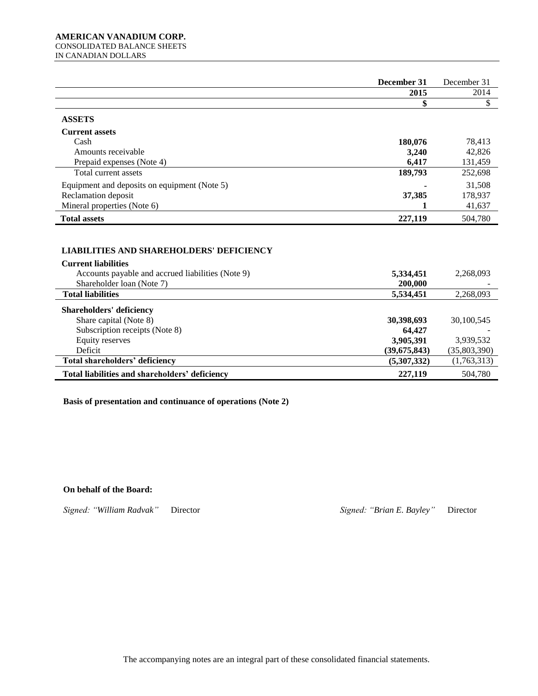#### **AMERICAN VANADIUM CORP.**  CONSOLIDATED BALANCE SHEETS IN CANADIAN DOLLARS

|                                                           | December 31          | December 31  |
|-----------------------------------------------------------|----------------------|--------------|
|                                                           | 2015                 | 2014         |
|                                                           | \$                   | \$           |
| <b>ASSETS</b>                                             |                      |              |
| <b>Current assets</b>                                     |                      |              |
| Cash                                                      | 180,076              | 78,413       |
| Amounts receivable                                        | 3,240                | 42,826       |
| Prepaid expenses (Note 4)                                 | 6,417                | 131,459      |
| Total current assets                                      | 189,793              | 252,698      |
| Equipment and deposits on equipment (Note 5)              |                      | 31,508       |
| Reclamation deposit                                       | 37,385               | 178,937      |
| Mineral properties (Note 6)                               | 1                    | 41,637       |
| <b>Total assets</b>                                       | 227,119              | 504.780      |
|                                                           |                      |              |
| <b>LIABILITIES AND SHAREHOLDERS' DEFICIENCY</b>           |                      |              |
| <b>Current liabilities</b>                                |                      |              |
| Accounts payable and accrued liabilities (Note 9)         | 5,334,451            | 2,268,093    |
| Shareholder loan (Note 7)                                 | 200,000              |              |
| <b>Total liabilities</b>                                  | 5,534,451            | 2,268,093    |
|                                                           |                      |              |
| <b>Shareholders' deficiency</b><br>Share capital (Note 8) |                      | 30,100,545   |
|                                                           | 30,398,693<br>64,427 |              |
| Subscription receipts (Note 8)                            |                      |              |
| <b>Equity reserves</b>                                    | 3,905,391            | 3,939,532    |
| Deficit                                                   | (39,675,843)         | (35,803,390) |
| <b>Total shareholders' deficiency</b>                     | (5,307,332)          | (1,763,313)  |
| Total liabilities and shareholders' deficiency            | 227,119              | 504,780      |

**Basis of presentation and continuance of operations (Note 2)**

**On behalf of the Board:**

*Signed: "William Radvak"* Director *Signed: "Brian E. Bayley"* Director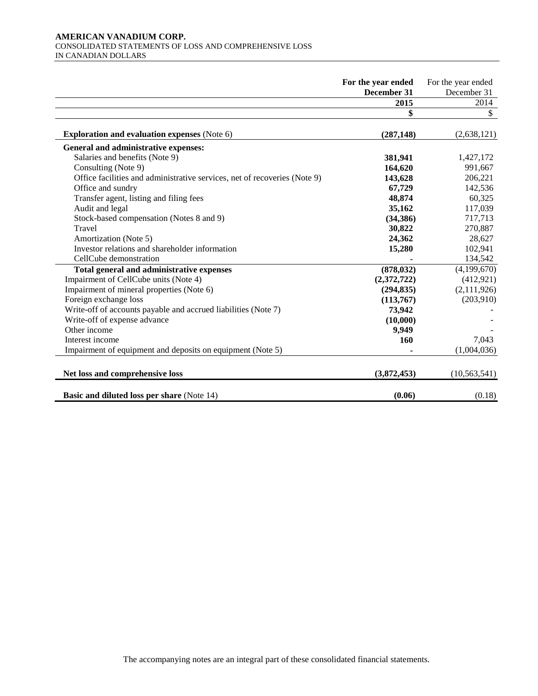## **AMERICAN VANADIUM CORP.**  CONSOLIDATED STATEMENTS OF LOSS AND COMPREHENSIVE LOSS IN CANADIAN DOLLARS

|                                                                           | For the year ended | For the year ended |
|---------------------------------------------------------------------------|--------------------|--------------------|
|                                                                           | December 31        | December 31        |
|                                                                           | 2015               | 2014               |
|                                                                           | \$                 | $\mathbb{S}$       |
| <b>Exploration and evaluation expenses</b> (Note 6)                       | (287, 148)         | (2,638,121)        |
| General and administrative expenses:                                      |                    |                    |
| Salaries and benefits (Note 9)                                            | 381,941            | 1,427,172          |
| Consulting (Note 9)                                                       | 164,620            | 991,667            |
| Office facilities and administrative services, net of recoveries (Note 9) | 143,628            | 206,221            |
| Office and sundry                                                         | 67,729             | 142,536            |
| Transfer agent, listing and filing fees                                   | 48,874             | 60,325             |
| Audit and legal                                                           | 35,162             | 117,039            |
| Stock-based compensation (Notes 8 and 9)                                  | (34, 386)          | 717,713            |
| Travel                                                                    | 30,822             | 270,887            |
| Amortization (Note 5)                                                     | 24,362             | 28,627             |
| Investor relations and shareholder information                            | 15,280             | 102,941            |
| CellCube demonstration                                                    |                    | 134,542            |
| Total general and administrative expenses                                 | (878, 032)         | (4,199,670)        |
| Impairment of CellCube units (Note 4)                                     | (2,372,722)        | (412,921)          |
| Impairment of mineral properties (Note 6)                                 | (294, 835)         | (2,111,926)        |
| Foreign exchange loss                                                     | (113,767)          | (203,910)          |
| Write-off of accounts payable and accrued liabilities (Note 7)            | 73,942             |                    |
| Write-off of expense advance                                              | (10,000)           |                    |
| Other income                                                              | 9,949              |                    |
| Interest income                                                           | <b>160</b>         | 7,043              |
| Impairment of equipment and deposits on equipment (Note 5)                |                    | (1,004,036)        |
| Net loss and comprehensive loss                                           | (3,872,453)        | (10, 563, 541)     |
| <b>Basic and diluted loss per share (Note 14)</b>                         | (0.06)             | (0.18)             |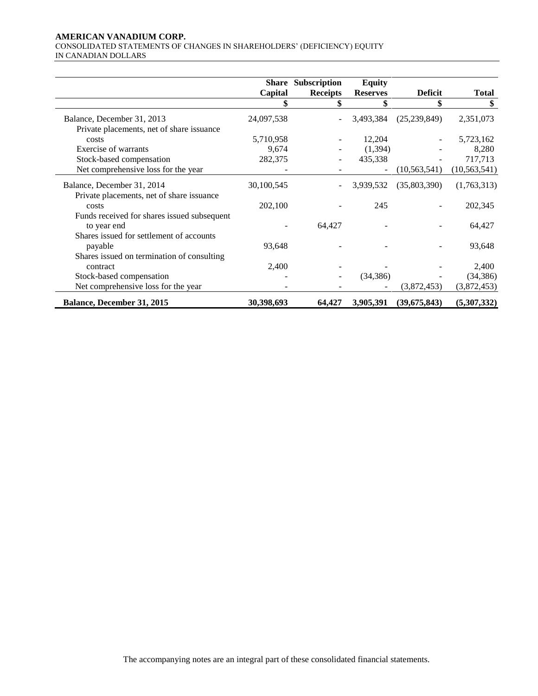## **AMERICAN VANADIUM CORP.**

CONSOLIDATED STATEMENTS OF CHANGES IN SHAREHOLDERS' (DEFICIENCY) EQUITY IN CANADIAN DOLLARS

|                                             |            | <b>Share Subscription</b> | <b>Equity</b>   |                |                |
|---------------------------------------------|------------|---------------------------|-----------------|----------------|----------------|
|                                             | Capital    | <b>Receipts</b>           | <b>Reserves</b> | <b>Deficit</b> | <b>Total</b>   |
|                                             |            |                           |                 |                | \$             |
| Balance, December 31, 2013                  | 24,097,538 |                           | 3,493,384       | (25, 239, 849) | 2,351,073      |
| Private placements, net of share issuance   |            |                           |                 |                |                |
| costs                                       | 5,710,958  |                           | 12,204          |                | 5,723,162      |
| Exercise of warrants                        | 9,674      |                           | (1, 394)        |                | 8,280          |
| Stock-based compensation                    | 282,375    |                           | 435,338         |                | 717,713        |
| Net comprehensive loss for the year         |            |                           |                 | (10, 563, 541) | (10, 563, 541) |
| Balance, December 31, 2014                  | 30,100,545 |                           | 3,939,532       | (35,803,390)   | (1,763,313)    |
| Private placements, net of share issuance   |            |                           |                 |                |                |
| costs                                       | 202,100    |                           | 245             |                | 202,345        |
| Funds received for shares issued subsequent |            |                           |                 |                |                |
| to year end                                 |            | 64,427                    |                 |                | 64,427         |
| Shares issued for settlement of accounts    |            |                           |                 |                |                |
| payable                                     | 93,648     |                           |                 |                | 93,648         |
| Shares issued on termination of consulting  |            |                           |                 |                |                |
| contract                                    | 2,400      |                           |                 |                | 2,400          |
| Stock-based compensation                    |            |                           | (34, 386)       |                | (34, 386)      |
| Net comprehensive loss for the year         |            |                           |                 | (3,872,453)    | (3,872,453)    |
| Balance, December 31, 2015                  | 30,398,693 | 64,427                    | 3,905,391       | (39, 675, 843) | (5,307,332)    |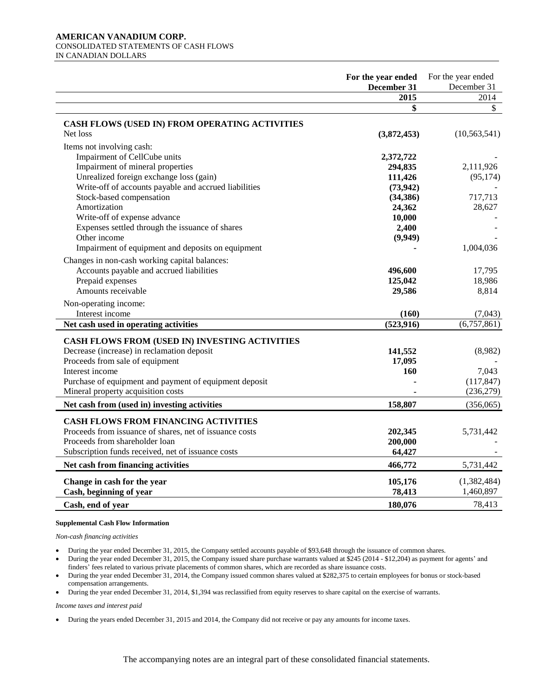#### **AMERICAN VANADIUM CORP.**  CONSOLIDATED STATEMENTS OF CASH FLOWS IN CANADIAN DOLLARS

|                                                         | For the year ended<br>December 31 | For the year ended<br>December 31 |
|---------------------------------------------------------|-----------------------------------|-----------------------------------|
|                                                         | 2015                              | 2014                              |
|                                                         | \$                                | \$                                |
| CASH FLOWS (USED IN) FROM OPERATING ACTIVITIES          |                                   |                                   |
| Net loss                                                | (3,872,453)                       | (10, 563, 541)                    |
| Items not involving cash:                               |                                   |                                   |
| Impairment of CellCube units                            | 2,372,722                         |                                   |
| Impairment of mineral properties                        | 294,835                           | 2,111,926                         |
| Unrealized foreign exchange loss (gain)                 | 111,426                           | (95, 174)                         |
| Write-off of accounts payable and accrued liabilities   | (73, 942)                         |                                   |
| Stock-based compensation                                | (34, 386)                         | 717,713                           |
| Amortization                                            | 24,362                            | 28,627                            |
| Write-off of expense advance                            | 10,000                            |                                   |
| Expenses settled through the issuance of shares         | 2,400                             |                                   |
| Other income                                            |                                   |                                   |
|                                                         | (9,949)                           | 1,004,036                         |
| Impairment of equipment and deposits on equipment       |                                   |                                   |
| Changes in non-cash working capital balances:           |                                   |                                   |
| Accounts payable and accrued liabilities                | 496,600                           | 17,795                            |
| Prepaid expenses                                        | 125,042                           | 18,986                            |
| Amounts receivable                                      | 29,586                            | 8,814                             |
| Non-operating income:                                   |                                   |                                   |
| Interest income                                         | (160)                             | (7,043)                           |
| Net cash used in operating activities                   | (523, 916)                        | (6,757,861)                       |
| CASH FLOWS FROM (USED IN) INVESTING ACTIVITIES          |                                   |                                   |
| Decrease (increase) in reclamation deposit              | 141,552                           | (8,982)                           |
| Proceeds from sale of equipment                         | 17,095                            |                                   |
| Interest income                                         | 160                               | 7,043                             |
| Purchase of equipment and payment of equipment deposit  |                                   | (117, 847)                        |
| Mineral property acquisition costs                      |                                   | (236, 279)                        |
|                                                         | 158,807                           |                                   |
| Net cash from (used in) investing activities            |                                   | (356,065)                         |
| <b>CASH FLOWS FROM FINANCING ACTIVITIES</b>             |                                   |                                   |
| Proceeds from issuance of shares, net of issuance costs | 202,345                           | 5,731,442                         |
| Proceeds from shareholder loan                          | 200,000                           |                                   |
| Subscription funds received, net of issuance costs      | 64,427                            |                                   |
| Net cash from financing activities                      | 466,772                           | 5,731,442                         |
| Change in cash for the year                             | 105,176                           | (1,382,484)                       |
| Cash, beginning of year                                 | 78,413                            | 1,460,897                         |
|                                                         |                                   |                                   |
| Cash, end of year                                       | 180,076                           | 78,413                            |

#### **Supplemental Cash Flow Information**

*Non-cash financing activities*

- During the year ended December 31, 2015, the Company settled accounts payable of \$93,648 through the issuance of common shares.
- During the year ended December 31, 2015, the Company issued share purchase warrants valued at \$245 (2014 \$12,204) as payment for agents' and finders' fees related to various private placements of common shares, which are recorded as share issuance costs.
- During the year ended December 31, 2014, the Company issued common shares valued at \$282,375 to certain employees for bonus or stock-based compensation arrangements.
- During the year ended December 31, 2014, \$1,394 was reclassified from equity reserves to share capital on the exercise of warrants.

#### *Income taxes and interest paid*

During the years ended December 31, 2015 and 2014, the Company did not receive or pay any amounts for income taxes.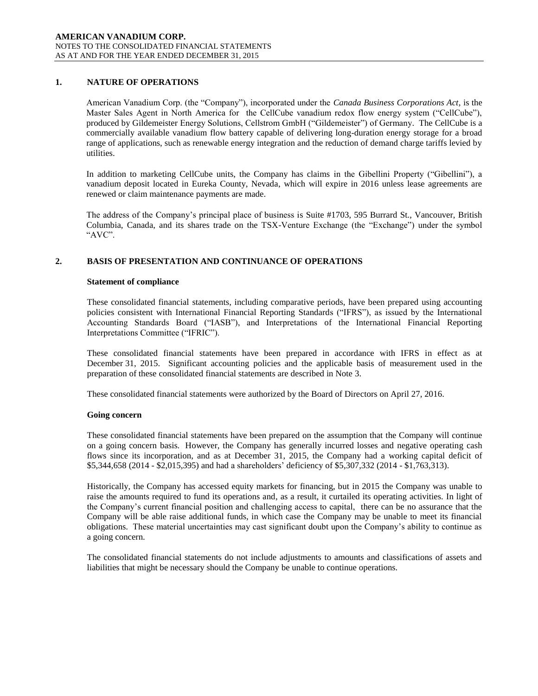## **1. NATURE OF OPERATIONS**

American Vanadium Corp. (the "Company"), incorporated under the *Canada Business Corporations Act*, is the Master Sales Agent in North America for the CellCube vanadium redox flow energy system ("CellCube"), produced by Gildemeister Energy Solutions, Cellstrom GmbH ("Gildemeister") of Germany. The CellCube is a commercially available vanadium flow battery capable of delivering long-duration energy storage for a broad range of applications, such as renewable energy integration and the reduction of demand charge tariffs levied by utilities.

In addition to marketing CellCube units, the Company has claims in the Gibellini Property ("Gibellini"), a vanadium deposit located in Eureka County, Nevada, which will expire in 2016 unless lease agreements are renewed or claim maintenance payments are made.

The address of the Company's principal place of business is Suite #1703, 595 Burrard St., Vancouver, British Columbia, Canada, and its shares trade on the TSX-Venture Exchange (the "Exchange") under the symbol "AVC".

## **2. BASIS OF PRESENTATION AND CONTINUANCE OF OPERATIONS**

## **Statement of compliance**

These consolidated financial statements, including comparative periods, have been prepared using accounting policies consistent with International Financial Reporting Standards ("IFRS"), as issued by the International Accounting Standards Board ("IASB"), and Interpretations of the International Financial Reporting Interpretations Committee ("IFRIC").

These consolidated financial statements have been prepared in accordance with IFRS in effect as at December 31, 2015. Significant accounting policies and the applicable basis of measurement used in the preparation of these consolidated financial statements are described in Note 3.

These consolidated financial statements were authorized by the Board of Directors on April 27, 2016.

## **Going concern**

These consolidated financial statements have been prepared on the assumption that the Company will continue on a going concern basis. However, the Company has generally incurred losses and negative operating cash flows since its incorporation, and as at December 31, 2015, the Company had a working capital deficit of \$5,344,658 (2014 - \$2,015,395) and had a shareholders' deficiency of \$5,307,332 (2014 - \$1,763,313).

Historically, the Company has accessed equity markets for financing, but in 2015 the Company was unable to raise the amounts required to fund its operations and, as a result, it curtailed its operating activities. In light of the Company's current financial position and challenging access to capital, there can be no assurance that the Company will be able raise additional funds, in which case the Company may be unable to meet its financial obligations. These material uncertainties may cast significant doubt upon the Company's ability to continue as a going concern.

The consolidated financial statements do not include adjustments to amounts and classifications of assets and liabilities that might be necessary should the Company be unable to continue operations.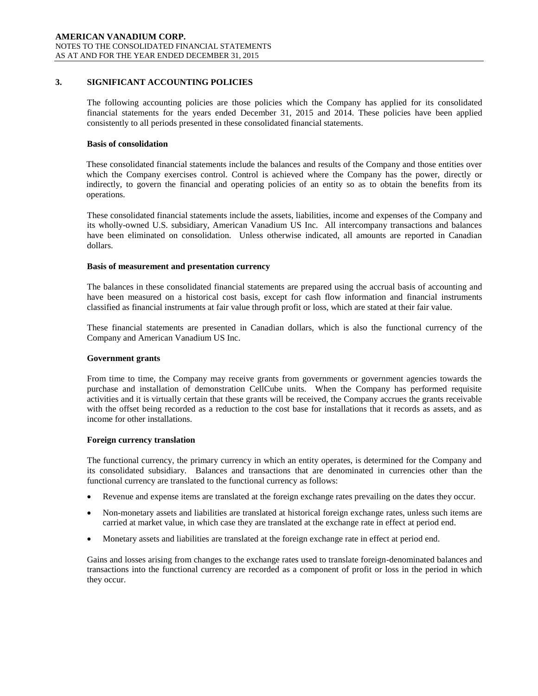## **3. SIGNIFICANT ACCOUNTING POLICIES**

The following accounting policies are those policies which the Company has applied for its consolidated financial statements for the years ended December 31, 2015 and 2014. These policies have been applied consistently to all periods presented in these consolidated financial statements.

## **Basis of consolidation**

These consolidated financial statements include the balances and results of the Company and those entities over which the Company exercises control. Control is achieved where the Company has the power, directly or indirectly, to govern the financial and operating policies of an entity so as to obtain the benefits from its operations.

These consolidated financial statements include the assets, liabilities, income and expenses of the Company and its wholly-owned U.S. subsidiary, American Vanadium US Inc. All intercompany transactions and balances have been eliminated on consolidation. Unless otherwise indicated, all amounts are reported in Canadian dollars.

## **Basis of measurement and presentation currency**

The balances in these consolidated financial statements are prepared using the accrual basis of accounting and have been measured on a historical cost basis, except for cash flow information and financial instruments classified as financial instruments at fair value through profit or loss, which are stated at their fair value.

These financial statements are presented in Canadian dollars, which is also the functional currency of the Company and American Vanadium US Inc.

## **Government grants**

From time to time, the Company may receive grants from governments or government agencies towards the purchase and installation of demonstration CellCube units. When the Company has performed requisite activities and it is virtually certain that these grants will be received, the Company accrues the grants receivable with the offset being recorded as a reduction to the cost base for installations that it records as assets, and as income for other installations.

## **Foreign currency translation**

The functional currency, the primary currency in which an entity operates, is determined for the Company and its consolidated subsidiary. Balances and transactions that are denominated in currencies other than the functional currency are translated to the functional currency as follows:

- Revenue and expense items are translated at the foreign exchange rates prevailing on the dates they occur.
- Non-monetary assets and liabilities are translated at historical foreign exchange rates, unless such items are carried at market value, in which case they are translated at the exchange rate in effect at period end.
- Monetary assets and liabilities are translated at the foreign exchange rate in effect at period end.

Gains and losses arising from changes to the exchange rates used to translate foreign-denominated balances and transactions into the functional currency are recorded as a component of profit or loss in the period in which they occur.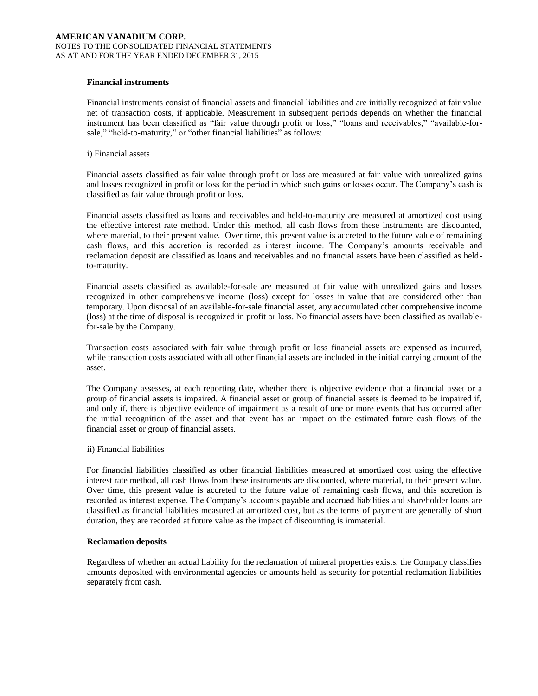## **Financial instruments**

Financial instruments consist of financial assets and financial liabilities and are initially recognized at fair value net of transaction costs, if applicable. Measurement in subsequent periods depends on whether the financial instrument has been classified as "fair value through profit or loss," "loans and receivables," "available-forsale," "held-to-maturity," or "other financial liabilities" as follows:

## i) Financial assets

Financial assets classified as fair value through profit or loss are measured at fair value with unrealized gains and losses recognized in profit or loss for the period in which such gains or losses occur. The Company's cash is classified as fair value through profit or loss.

Financial assets classified as loans and receivables and held-to-maturity are measured at amortized cost using the effective interest rate method. Under this method, all cash flows from these instruments are discounted, where material, to their present value. Over time, this present value is accreted to the future value of remaining cash flows, and this accretion is recorded as interest income. The Company's amounts receivable and reclamation deposit are classified as loans and receivables and no financial assets have been classified as heldto-maturity.

Financial assets classified as available-for-sale are measured at fair value with unrealized gains and losses recognized in other comprehensive income (loss) except for losses in value that are considered other than temporary. Upon disposal of an available-for-sale financial asset, any accumulated other comprehensive income (loss) at the time of disposal is recognized in profit or loss. No financial assets have been classified as availablefor-sale by the Company.

Transaction costs associated with fair value through profit or loss financial assets are expensed as incurred, while transaction costs associated with all other financial assets are included in the initial carrying amount of the asset.

The Company assesses, at each reporting date, whether there is objective evidence that a financial asset or a group of financial assets is impaired. A financial asset or group of financial assets is deemed to be impaired if, and only if, there is objective evidence of impairment as a result of one or more events that has occurred after the initial recognition of the asset and that event has an impact on the estimated future cash flows of the financial asset or group of financial assets.

## ii) Financial liabilities

For financial liabilities classified as other financial liabilities measured at amortized cost using the effective interest rate method, all cash flows from these instruments are discounted, where material, to their present value. Over time, this present value is accreted to the future value of remaining cash flows, and this accretion is recorded as interest expense. The Company's accounts payable and accrued liabilities and shareholder loans are classified as financial liabilities measured at amortized cost, but as the terms of payment are generally of short duration, they are recorded at future value as the impact of discounting is immaterial.

## **Reclamation deposits**

Regardless of whether an actual liability for the reclamation of mineral properties exists, the Company classifies amounts deposited with environmental agencies or amounts held as security for potential reclamation liabilities separately from cash.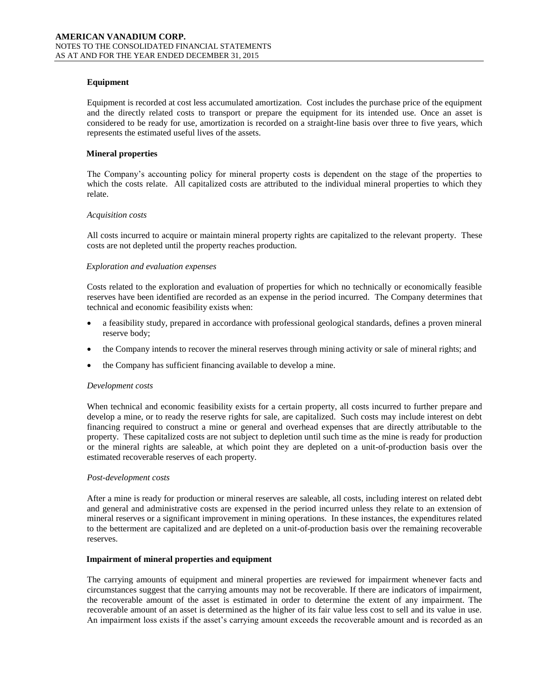## **Equipment**

Equipment is recorded at cost less accumulated amortization. Cost includes the purchase price of the equipment and the directly related costs to transport or prepare the equipment for its intended use. Once an asset is considered to be ready for use, amortization is recorded on a straight-line basis over three to five years, which represents the estimated useful lives of the assets.

## **Mineral properties**

The Company's accounting policy for mineral property costs is dependent on the stage of the properties to which the costs relate. All capitalized costs are attributed to the individual mineral properties to which they relate.

## *Acquisition costs*

All costs incurred to acquire or maintain mineral property rights are capitalized to the relevant property. These costs are not depleted until the property reaches production.

## *Exploration and evaluation expenses*

Costs related to the exploration and evaluation of properties for which no technically or economically feasible reserves have been identified are recorded as an expense in the period incurred. The Company determines that technical and economic feasibility exists when:

- a feasibility study, prepared in accordance with professional geological standards, defines a proven mineral reserve body;
- the Company intends to recover the mineral reserves through mining activity or sale of mineral rights; and
- the Company has sufficient financing available to develop a mine.

## *Development costs*

When technical and economic feasibility exists for a certain property, all costs incurred to further prepare and develop a mine, or to ready the reserve rights for sale, are capitalized. Such costs may include interest on debt financing required to construct a mine or general and overhead expenses that are directly attributable to the property. These capitalized costs are not subject to depletion until such time as the mine is ready for production or the mineral rights are saleable, at which point they are depleted on a unit-of-production basis over the estimated recoverable reserves of each property.

## *Post-development costs*

After a mine is ready for production or mineral reserves are saleable, all costs, including interest on related debt and general and administrative costs are expensed in the period incurred unless they relate to an extension of mineral reserves or a significant improvement in mining operations. In these instances, the expenditures related to the betterment are capitalized and are depleted on a unit-of-production basis over the remaining recoverable reserves.

## **Impairment of mineral properties and equipment**

The carrying amounts of equipment and mineral properties are reviewed for impairment whenever facts and circumstances suggest that the carrying amounts may not be recoverable. If there are indicators of impairment, the recoverable amount of the asset is estimated in order to determine the extent of any impairment. The recoverable amount of an asset is determined as the higher of its fair value less cost to sell and its value in use. An impairment loss exists if the asset's carrying amount exceeds the recoverable amount and is recorded as an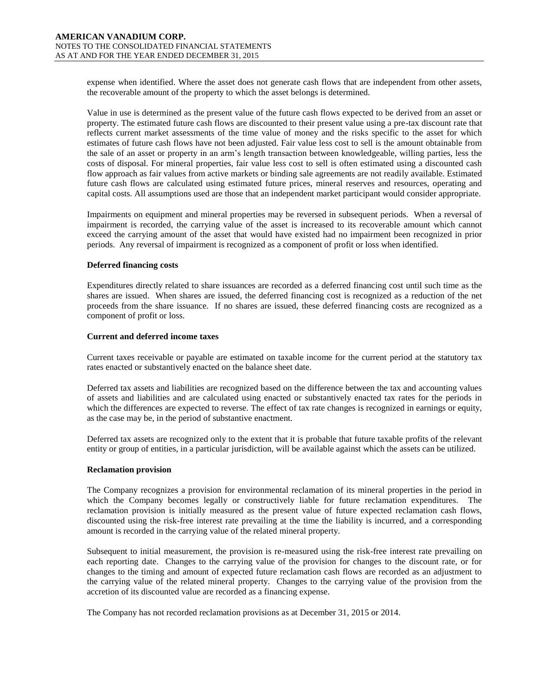expense when identified. Where the asset does not generate cash flows that are independent from other assets, the recoverable amount of the property to which the asset belongs is determined.

Value in use is determined as the present value of the future cash flows expected to be derived from an asset or property. The estimated future cash flows are discounted to their present value using a pre-tax discount rate that reflects current market assessments of the time value of money and the risks specific to the asset for which estimates of future cash flows have not been adjusted. Fair value less cost to sell is the amount obtainable from the sale of an asset or property in an arm's length transaction between knowledgeable, willing parties, less the costs of disposal. For mineral properties, fair value less cost to sell is often estimated using a discounted cash flow approach as fair values from active markets or binding sale agreements are not readily available. Estimated future cash flows are calculated using estimated future prices, mineral reserves and resources, operating and capital costs. All assumptions used are those that an independent market participant would consider appropriate.

Impairments on equipment and mineral properties may be reversed in subsequent periods. When a reversal of impairment is recorded, the carrying value of the asset is increased to its recoverable amount which cannot exceed the carrying amount of the asset that would have existed had no impairment been recognized in prior periods. Any reversal of impairment is recognized as a component of profit or loss when identified.

## **Deferred financing costs**

Expenditures directly related to share issuances are recorded as a deferred financing cost until such time as the shares are issued. When shares are issued, the deferred financing cost is recognized as a reduction of the net proceeds from the share issuance. If no shares are issued, these deferred financing costs are recognized as a component of profit or loss.

#### **Current and deferred income taxes**

Current taxes receivable or payable are estimated on taxable income for the current period at the statutory tax rates enacted or substantively enacted on the balance sheet date.

Deferred tax assets and liabilities are recognized based on the difference between the tax and accounting values of assets and liabilities and are calculated using enacted or substantively enacted tax rates for the periods in which the differences are expected to reverse. The effect of tax rate changes is recognized in earnings or equity, as the case may be, in the period of substantive enactment.

Deferred tax assets are recognized only to the extent that it is probable that future taxable profits of the relevant entity or group of entities, in a particular jurisdiction, will be available against which the assets can be utilized.

#### **Reclamation provision**

The Company recognizes a provision for environmental reclamation of its mineral properties in the period in which the Company becomes legally or constructively liable for future reclamation expenditures. The reclamation provision is initially measured as the present value of future expected reclamation cash flows, discounted using the risk-free interest rate prevailing at the time the liability is incurred, and a corresponding amount is recorded in the carrying value of the related mineral property.

Subsequent to initial measurement, the provision is re-measured using the risk-free interest rate prevailing on each reporting date. Changes to the carrying value of the provision for changes to the discount rate, or for changes to the timing and amount of expected future reclamation cash flows are recorded as an adjustment to the carrying value of the related mineral property. Changes to the carrying value of the provision from the accretion of its discounted value are recorded as a financing expense.

The Company has not recorded reclamation provisions as at December 31, 2015 or 2014.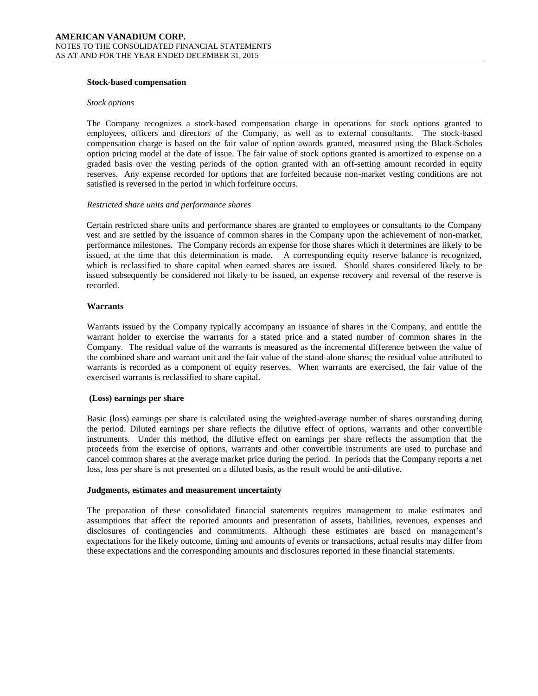## **Stock-based compensation**

#### *Stock options*

The Company recognizes a stock-based compensation charge in operations for stock options granted to employees, officers and directors of the Company, as well as to external consultants. The stock-based compensation charge is based on the fair value of option awards granted, measured using the Black-Scholes option pricing model at the date of issue. The fair value of stock options granted is amortized to expense on a graded basis over the vesting periods of the option granted with an off-setting amount recorded in equity reserves. Any expense recorded for options that are forfeited because non-market vesting conditions are not satisfied is reversed in the period in which forfeiture occurs.

## *Restricted share units and performance shares*

Certain restricted share units and performance shares are granted to employees or consultants to the Company vest and are settled by the issuance of common shares in the Company upon the achievement of non-market, performance milestones. The Company records an expense for those shares which it determines are likely to be issued, at the time that this determination is made. A corresponding equity reserve balance is recognized, which is reclassified to share capital when earned shares are issued. Should shares considered likely to be issued subsequently be considered not likely to be issued, an expense recovery and reversal of the reserve is recorded.

## **Warrants**

Warrants issued by the Company typically accompany an issuance of shares in the Company, and entitle the warrant holder to exercise the warrants for a stated price and a stated number of common shares in the Company. The residual value of the warrants is measured as the incremental difference between the value of the combined share and warrant unit and the fair value of the stand-alone shares; the residual value attributed to warrants is recorded as a component of equity reserves. When warrants are exercised, the fair value of the exercised warrants is reclassified to share capital.

## **(Loss) earnings per share**

Basic (loss) earnings per share is calculated using the weighted-average number of shares outstanding during the period. Diluted earnings per share reflects the dilutive effect of options, warrants and other convertible instruments. Under this method, the dilutive effect on earnings per share reflects the assumption that the proceeds from the exercise of options, warrants and other convertible instruments are used to purchase and cancel common shares at the average market price during the period. In periods that the Company reports a net loss, loss per share is not presented on a diluted basis, as the result would be anti-dilutive.

#### **Judgments, estimates and measurement uncertainty**

The preparation of these consolidated financial statements requires management to make estimates and assumptions that affect the reported amounts and presentation of assets, liabilities, revenues, expenses and disclosures of contingencies and commitments. Although these estimates are based on management's expectations for the likely outcome, timing and amounts of events or transactions, actual results may differ from these expectations and the corresponding amounts and disclosures reported in these financial statements.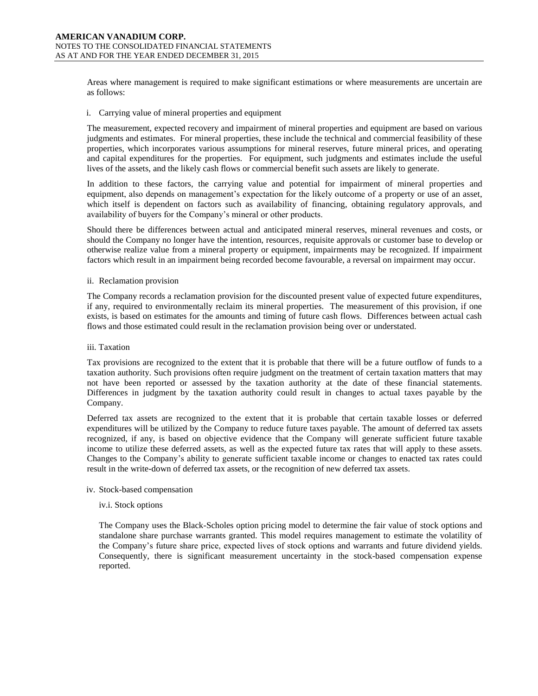Areas where management is required to make significant estimations or where measurements are uncertain are as follows:

#### i. Carrying value of mineral properties and equipment

The measurement, expected recovery and impairment of mineral properties and equipment are based on various judgments and estimates. For mineral properties, these include the technical and commercial feasibility of these properties, which incorporates various assumptions for mineral reserves, future mineral prices, and operating and capital expenditures for the properties. For equipment, such judgments and estimates include the useful lives of the assets, and the likely cash flows or commercial benefit such assets are likely to generate.

In addition to these factors, the carrying value and potential for impairment of mineral properties and equipment, also depends on management's expectation for the likely outcome of a property or use of an asset, which itself is dependent on factors such as availability of financing, obtaining regulatory approvals, and availability of buyers for the Company's mineral or other products.

Should there be differences between actual and anticipated mineral reserves, mineral revenues and costs, or should the Company no longer have the intention, resources, requisite approvals or customer base to develop or otherwise realize value from a mineral property or equipment, impairments may be recognized. If impairment factors which result in an impairment being recorded become favourable, a reversal on impairment may occur.

## ii. Reclamation provision

The Company records a reclamation provision for the discounted present value of expected future expenditures, if any, required to environmentally reclaim its mineral properties. The measurement of this provision, if one exists, is based on estimates for the amounts and timing of future cash flows. Differences between actual cash flows and those estimated could result in the reclamation provision being over or understated.

#### iii. Taxation

Tax provisions are recognized to the extent that it is probable that there will be a future outflow of funds to a taxation authority. Such provisions often require judgment on the treatment of certain taxation matters that may not have been reported or assessed by the taxation authority at the date of these financial statements. Differences in judgment by the taxation authority could result in changes to actual taxes payable by the Company.

Deferred tax assets are recognized to the extent that it is probable that certain taxable losses or deferred expenditures will be utilized by the Company to reduce future taxes payable. The amount of deferred tax assets recognized, if any, is based on objective evidence that the Company will generate sufficient future taxable income to utilize these deferred assets, as well as the expected future tax rates that will apply to these assets. Changes to the Company's ability to generate sufficient taxable income or changes to enacted tax rates could result in the write-down of deferred tax assets, or the recognition of new deferred tax assets.

#### iv. Stock-based compensation

## iv.i. Stock options

The Company uses the Black-Scholes option pricing model to determine the fair value of stock options and standalone share purchase warrants granted. This model requires management to estimate the volatility of the Company's future share price, expected lives of stock options and warrants and future dividend yields. Consequently, there is significant measurement uncertainty in the stock-based compensation expense reported.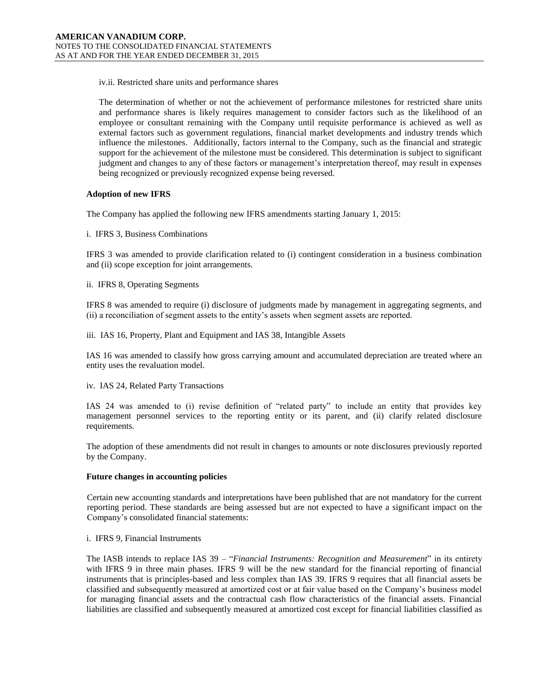iv.ii. Restricted share units and performance shares

The determination of whether or not the achievement of performance milestones for restricted share units and performance shares is likely requires management to consider factors such as the likelihood of an employee or consultant remaining with the Company until requisite performance is achieved as well as external factors such as government regulations, financial market developments and industry trends which influence the milestones. Additionally, factors internal to the Company, such as the financial and strategic support for the achievement of the milestone must be considered. This determination is subject to significant judgment and changes to any of these factors or management's interpretation thereof, may result in expenses being recognized or previously recognized expense being reversed.

## **Adoption of new IFRS**

The Company has applied the following new IFRS amendments starting January 1, 2015:

i. IFRS 3, Business Combinations

IFRS 3 was amended to provide clarification related to (i) contingent consideration in a business combination and (ii) scope exception for joint arrangements.

ii. IFRS 8, Operating Segments

IFRS 8 was amended to require (i) disclosure of judgments made by management in aggregating segments, and (ii) a reconciliation of segment assets to the entity's assets when segment assets are reported.

iii. IAS 16, Property, Plant and Equipment and IAS 38, Intangible Assets

IAS 16 was amended to classify how gross carrying amount and accumulated depreciation are treated where an entity uses the revaluation model.

iv. IAS 24, Related Party Transactions

IAS 24 was amended to (i) revise definition of "related party" to include an entity that provides key management personnel services to the reporting entity or its parent, and (ii) clarify related disclosure requirements.

The adoption of these amendments did not result in changes to amounts or note disclosures previously reported by the Company.

## **Future changes in accounting policies**

Certain new accounting standards and interpretations have been published that are not mandatory for the current reporting period. These standards are being assessed but are not expected to have a significant impact on the Company's consolidated financial statements:

i. IFRS 9, Financial Instruments

The IASB intends to replace IAS 39 – "*Financial Instruments: Recognition and Measurement*" in its entirety with IFRS 9 in three main phases. IFRS 9 will be the new standard for the financial reporting of financial instruments that is principles-based and less complex than IAS 39. IFRS 9 requires that all financial assets be classified and subsequently measured at amortized cost or at fair value based on the Company's business model for managing financial assets and the contractual cash flow characteristics of the financial assets. Financial liabilities are classified and subsequently measured at amortized cost except for financial liabilities classified as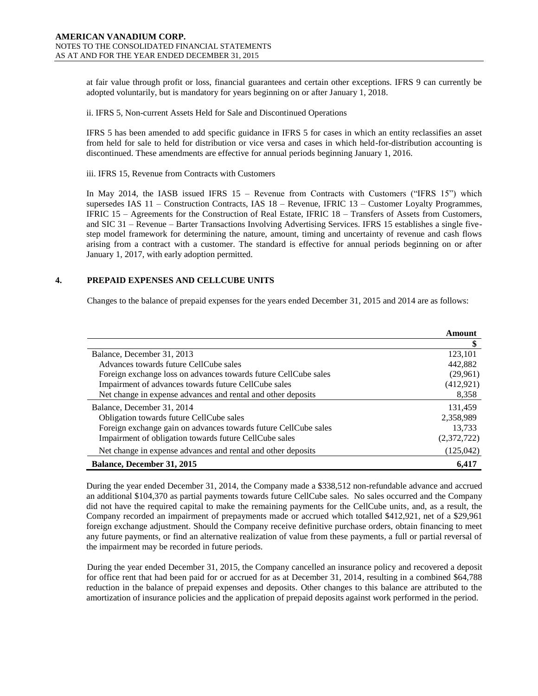at fair value through profit or loss, financial guarantees and certain other exceptions. IFRS 9 can currently be adopted voluntarily, but is mandatory for years beginning on or after January 1, 2018.

ii. IFRS 5, Non-current Assets Held for Sale and Discontinued Operations

IFRS 5 has been amended to add specific guidance in IFRS 5 for cases in which an entity reclassifies an asset from held for sale to held for distribution or vice versa and cases in which held-for-distribution accounting is discontinued. These amendments are effective for annual periods beginning January 1, 2016.

iii. IFRS 15, Revenue from Contracts with Customers

In May 2014, the IASB issued IFRS 15 – Revenue from Contracts with Customers ("IFRS 15") which supersedes IAS 11 – Construction Contracts, IAS 18 – Revenue, IFRIC 13 – Customer Loyalty Programmes, IFRIC 15 – Agreements for the Construction of Real Estate, IFRIC 18 – Transfers of Assets from Customers, and SIC 31 – Revenue – Barter Transactions Involving Advertising Services. IFRS 15 establishes a single fivestep model framework for determining the nature, amount, timing and uncertainty of revenue and cash flows arising from a contract with a customer. The standard is effective for annual periods beginning on or after January 1, 2017, with early adoption permitted.

## **4. PREPAID EXPENSES AND CELLCUBE UNITS**

Changes to the balance of prepaid expenses for the years ended December 31, 2015 and 2014 are as follows:

|                                                                 | Amount      |
|-----------------------------------------------------------------|-------------|
|                                                                 |             |
| Balance, December 31, 2013                                      | 123,101     |
| Advances towards future CellCube sales                          | 442,882     |
| Foreign exchange loss on advances towards future CellCube sales | (29,961)    |
| Impairment of advances towards future CellCube sales            | (412, 921)  |
| Net change in expense advances and rental and other deposits    | 8,358       |
| Balance, December 31, 2014                                      | 131.459     |
| Obligation towards future CellCube sales                        | 2,358,989   |
| Foreign exchange gain on advances towards future CellCube sales | 13,733      |
| Impairment of obligation towards future CellCube sales          | (2,372,722) |
| Net change in expense advances and rental and other deposits    | (125, 042)  |
| <b>Balance, December 31, 2015</b>                               | 6.417       |

During the year ended December 31, 2014, the Company made a \$338,512 non-refundable advance and accrued an additional \$104,370 as partial payments towards future CellCube sales. No sales occurred and the Company did not have the required capital to make the remaining payments for the CellCube units, and, as a result, the Company recorded an impairment of prepayments made or accrued which totalled \$412,921, net of a \$29,961 foreign exchange adjustment. Should the Company receive definitive purchase orders, obtain financing to meet any future payments, or find an alternative realization of value from these payments, a full or partial reversal of the impairment may be recorded in future periods.

During the year ended December 31, 2015, the Company cancelled an insurance policy and recovered a deposit for office rent that had been paid for or accrued for as at December 31, 2014, resulting in a combined \$64,788 reduction in the balance of prepaid expenses and deposits. Other changes to this balance are attributed to the amortization of insurance policies and the application of prepaid deposits against work performed in the period.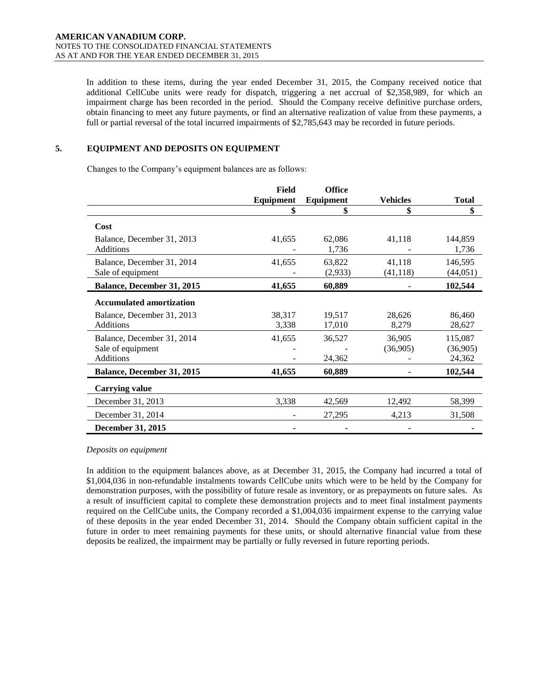In addition to these items, during the year ended December 31, 2015, the Company received notice that additional CellCube units were ready for dispatch, triggering a net accrual of \$2,358,989, for which an impairment charge has been recorded in the period. Should the Company receive definitive purchase orders, obtain financing to meet any future payments, or find an alternative realization of value from these payments, a full or partial reversal of the total incurred impairments of \$2,785,643 may be recorded in future periods.

## **5. EQUIPMENT AND DEPOSITS ON EQUIPMENT**

Changes to the Company's equipment balances are as follows:

|                                 | <b>Field</b> | <b>Office</b>    |                 |              |
|---------------------------------|--------------|------------------|-----------------|--------------|
|                                 | Equipment    | <b>Equipment</b> | <b>Vehicles</b> | <b>Total</b> |
|                                 |              |                  |                 | \$           |
| Cost                            |              |                  |                 |              |
| Balance, December 31, 2013      | 41,655       | 62,086           | 41,118          | 144,859      |
| Additions                       |              | 1,736            |                 | 1,736        |
| Balance, December 31, 2014      | 41,655       | 63,822           | 41,118          | 146,595      |
| Sale of equipment               |              | (2,933)          | (41, 118)       | (44, 051)    |
| Balance, December 31, 2015      | 41,655       | 60,889           |                 | 102,544      |
| <b>Accumulated amortization</b> |              |                  |                 |              |
| Balance, December 31, 2013      | 38,317       | 19,517           | 28,626          | 86,460       |
| Additions                       | 3,338        | 17,010           | 8,279           | 28,627       |
| Balance, December 31, 2014      | 41,655       | 36,527           | 36,905          | 115,087      |
| Sale of equipment               |              |                  | (36,905)        | (36,905)     |
| Additions                       |              | 24,362           |                 | 24,362       |
| Balance, December 31, 2015      | 41,655       | 60,889           |                 | 102,544      |
| <b>Carrying value</b>           |              |                  |                 |              |
| December 31, 2013               | 3,338        | 42,569           | 12,492          | 58,399       |
| December 31, 2014               |              | 27,295           | 4,213           | 31,508       |
| <b>December 31, 2015</b>        |              |                  |                 |              |

## *Deposits on equipment*

In addition to the equipment balances above, as at December 31, 2015, the Company had incurred a total of \$1,004,036 in non-refundable instalments towards CellCube units which were to be held by the Company for demonstration purposes, with the possibility of future resale as inventory, or as prepayments on future sales. As a result of insufficient capital to complete these demonstration projects and to meet final instalment payments required on the CellCube units, the Company recorded a \$1,004,036 impairment expense to the carrying value of these deposits in the year ended December 31, 2014. Should the Company obtain sufficient capital in the future in order to meet remaining payments for these units, or should alternative financial value from these deposits be realized, the impairment may be partially or fully reversed in future reporting periods.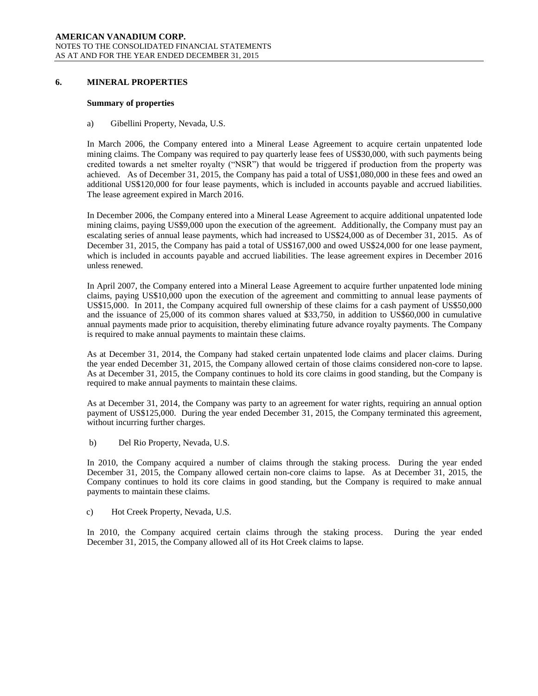## **6. MINERAL PROPERTIES**

#### **Summary of properties**

a) Gibellini Property, Nevada, U.S.

In March 2006, the Company entered into a Mineral Lease Agreement to acquire certain unpatented lode mining claims. The Company was required to pay quarterly lease fees of US\$30,000, with such payments being credited towards a net smelter royalty ("NSR") that would be triggered if production from the property was achieved. As of December 31, 2015, the Company has paid a total of US\$1,080,000 in these fees and owed an additional US\$120,000 for four lease payments, which is included in accounts payable and accrued liabilities. The lease agreement expired in March 2016.

In December 2006, the Company entered into a Mineral Lease Agreement to acquire additional unpatented lode mining claims, paying US\$9,000 upon the execution of the agreement. Additionally, the Company must pay an escalating series of annual lease payments, which had increased to US\$24,000 as of December 31, 2015. As of December 31, 2015, the Company has paid a total of US\$167,000 and owed US\$24,000 for one lease payment, which is included in accounts payable and accrued liabilities. The lease agreement expires in December 2016 unless renewed.

In April 2007, the Company entered into a Mineral Lease Agreement to acquire further unpatented lode mining claims, paying US\$10,000 upon the execution of the agreement and committing to annual lease payments of US\$15,000. In 2011, the Company acquired full ownership of these claims for a cash payment of US\$50,000 and the issuance of 25,000 of its common shares valued at \$33,750, in addition to US\$60,000 in cumulative annual payments made prior to acquisition, thereby eliminating future advance royalty payments. The Company is required to make annual payments to maintain these claims.

As at December 31, 2014, the Company had staked certain unpatented lode claims and placer claims. During the year ended December 31, 2015, the Company allowed certain of those claims considered non-core to lapse. As at December 31, 2015, the Company continues to hold its core claims in good standing, but the Company is required to make annual payments to maintain these claims.

As at December 31, 2014, the Company was party to an agreement for water rights, requiring an annual option payment of US\$125,000. During the year ended December 31, 2015, the Company terminated this agreement, without incurring further charges.

b) Del Rio Property, Nevada, U.S.

In 2010, the Company acquired a number of claims through the staking process. During the year ended December 31, 2015, the Company allowed certain non-core claims to lapse. As at December 31, 2015, the Company continues to hold its core claims in good standing, but the Company is required to make annual payments to maintain these claims.

c) Hot Creek Property, Nevada, U.S.

In 2010, the Company acquired certain claims through the staking process. During the year ended December 31, 2015, the Company allowed all of its Hot Creek claims to lapse.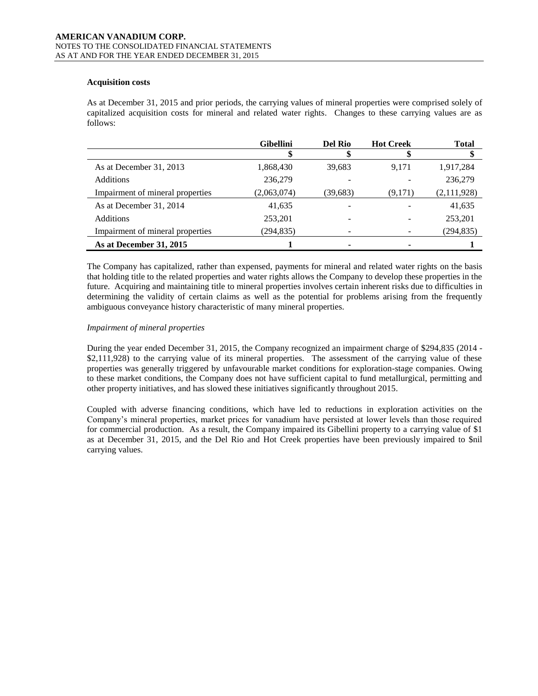## **Acquisition costs**

As at December 31, 2015 and prior periods, the carrying values of mineral properties were comprised solely of capitalized acquisition costs for mineral and related water rights. Changes to these carrying values are as follows:

|                                  | <b>Gibellini</b> | <b>Del Rio</b> | <b>Hot Creek</b> | <b>Total</b> |
|----------------------------------|------------------|----------------|------------------|--------------|
|                                  |                  |                |                  |              |
| As at December 31, 2013          | 1,868,430        | 39,683         | 9,171            | 1,917,284    |
| Additions                        | 236,279          |                |                  | 236,279      |
| Impairment of mineral properties | (2,063,074)      | (39, 683)      | (9,171)          | (2,111,928)  |
| As at December 31, 2014          | 41,635           |                |                  | 41,635       |
| Additions                        | 253,201          | ۰              |                  | 253,201      |
| Impairment of mineral properties | (294, 835)       | -              |                  | (294, 835)   |
| As at December 31, 2015          |                  |                |                  |              |

The Company has capitalized, rather than expensed, payments for mineral and related water rights on the basis that holding title to the related properties and water rights allows the Company to develop these properties in the future. Acquiring and maintaining title to mineral properties involves certain inherent risks due to difficulties in determining the validity of certain claims as well as the potential for problems arising from the frequently ambiguous conveyance history characteristic of many mineral properties.

## *Impairment of mineral properties*

During the year ended December 31, 2015, the Company recognized an impairment charge of \$294,835 (2014 - \$2,111,928) to the carrying value of its mineral properties. The assessment of the carrying value of these properties was generally triggered by unfavourable market conditions for exploration-stage companies. Owing to these market conditions, the Company does not have sufficient capital to fund metallurgical, permitting and other property initiatives, and has slowed these initiatives significantly throughout 2015.

Coupled with adverse financing conditions, which have led to reductions in exploration activities on the Company's mineral properties, market prices for vanadium have persisted at lower levels than those required for commercial production. As a result, the Company impaired its Gibellini property to a carrying value of \$1 as at December 31, 2015, and the Del Rio and Hot Creek properties have been previously impaired to \$nil carrying values.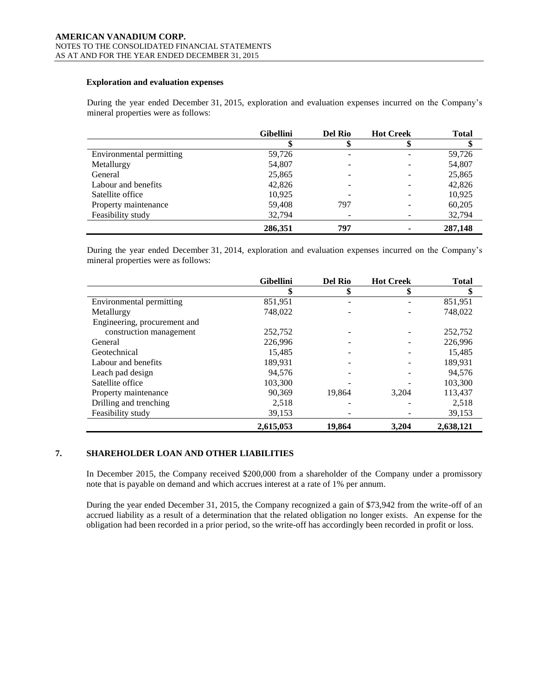## **Exploration and evaluation expenses**

During the year ended December 31, 2015, exploration and evaluation expenses incurred on the Company's mineral properties were as follows:

|                          | <b>Gibellini</b> | <b>Del Rio</b> | <b>Hot Creek</b> | <b>Total</b> |
|--------------------------|------------------|----------------|------------------|--------------|
|                          |                  |                |                  |              |
| Environmental permitting | 59,726           |                |                  | 59,726       |
| Metallurgy               | 54,807           |                |                  | 54,807       |
| General                  | 25,865           |                |                  | 25,865       |
| Labour and benefits      | 42,826           |                |                  | 42,826       |
| Satellite office         | 10.925           |                |                  | 10,925       |
| Property maintenance     | 59,408           | 797            |                  | 60,205       |
| Feasibility study        | 32,794           |                |                  | 32,794       |
|                          | 286,351          | 797            |                  | 287,148      |

During the year ended December 31, 2014, exploration and evaluation expenses incurred on the Company's mineral properties were as follows:

|                              | <b>Gibellini</b> | <b>Del Rio</b> | <b>Hot Creek</b> | <b>Total</b> |
|------------------------------|------------------|----------------|------------------|--------------|
|                              | \$               | J              |                  | \$           |
| Environmental permitting     | 851,951          |                |                  | 851,951      |
| Metallurgy                   | 748,022          |                |                  | 748,022      |
| Engineering, procurement and |                  |                |                  |              |
| construction management      | 252,752          |                |                  | 252,752      |
| General                      | 226,996          |                |                  | 226,996      |
| Geotechnical                 | 15,485           |                |                  | 15,485       |
| Labour and benefits          | 189,931          |                |                  | 189,931      |
| Leach pad design             | 94.576           |                |                  | 94.576       |
| Satellite office             | 103,300          |                |                  | 103,300      |
| Property maintenance         | 90.369           | 19,864         | 3.204            | 113,437      |
| Drilling and trenching       | 2,518            |                |                  | 2,518        |
| Feasibility study            | 39,153           |                |                  | 39,153       |
|                              | 2,615,053        | 19,864         | 3,204            | 2.638.121    |

## **7. SHAREHOLDER LOAN AND OTHER LIABILITIES**

In December 2015, the Company received \$200,000 from a shareholder of the Company under a promissory note that is payable on demand and which accrues interest at a rate of 1% per annum.

During the year ended December 31, 2015, the Company recognized a gain of \$73,942 from the write-off of an accrued liability as a result of a determination that the related obligation no longer exists. An expense for the obligation had been recorded in a prior period, so the write-off has accordingly been recorded in profit or loss.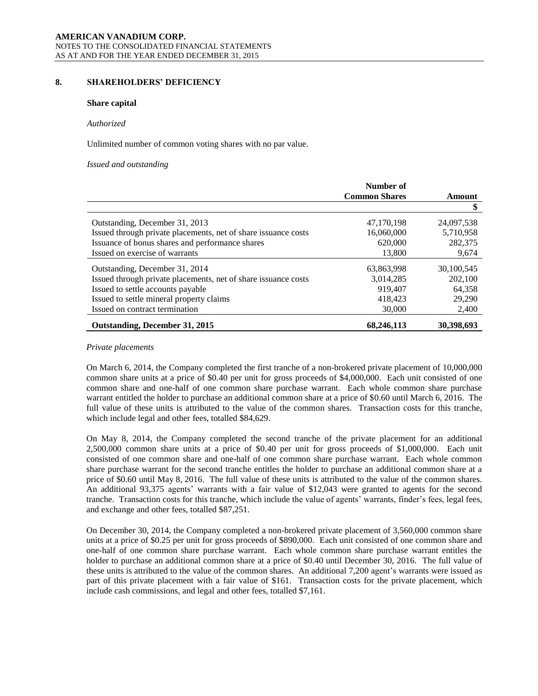## **8. SHAREHOLDERS' DEFICIENCY**

#### **Share capital**

#### *Authorized*

Unlimited number of common voting shares with no par value.

#### *Issued and outstanding*

|                                                                | Number of            |            |
|----------------------------------------------------------------|----------------------|------------|
|                                                                | <b>Common Shares</b> | Amount     |
|                                                                |                      |            |
| Outstanding, December 31, 2013                                 | 47,170,198           | 24,097,538 |
| Issued through private placements, net of share issuance costs | 16,060,000           | 5,710,958  |
| Issuance of bonus shares and performance shares                | 620,000              | 282,375    |
| Issued on exercise of warrants                                 | 13,800               | 9,674      |
| Outstanding, December 31, 2014                                 | 63,863,998           | 30,100,545 |
| Issued through private placements, net of share issuance costs | 3.014.285            | 202,100    |
| Issued to settle accounts payable                              | 919.407              | 64.358     |
| Issued to settle mineral property claims                       | 418.423              | 29,290     |
| Issued on contract termination                                 | 30,000               | 2,400      |
| Outstanding, December 31, 2015                                 | 68.246.113           | 30,398,693 |

#### *Private placements*

On March 6, 2014, the Company completed the first tranche of a non-brokered private placement of 10,000,000 common share units at a price of \$0.40 per unit for gross proceeds of \$4,000,000. Each unit consisted of one common share and one-half of one common share purchase warrant. Each whole common share purchase warrant entitled the holder to purchase an additional common share at a price of \$0.60 until March 6, 2016. The full value of these units is attributed to the value of the common shares. Transaction costs for this tranche, which include legal and other fees, totalled \$84,629.

On May 8, 2014, the Company completed the second tranche of the private placement for an additional 2,500,000 common share units at a price of \$0.40 per unit for gross proceeds of \$1,000,000. Each unit consisted of one common share and one-half of one common share purchase warrant. Each whole common share purchase warrant for the second tranche entitles the holder to purchase an additional common share at a price of \$0.60 until May 8, 2016. The full value of these units is attributed to the value of the common shares. An additional 93,375 agents' warrants with a fair value of \$12,043 were granted to agents for the second tranche. Transaction costs for this tranche, which include the value of agents' warrants, finder's fees, legal fees, and exchange and other fees, totalled \$87,251.

On December 30, 2014, the Company completed a non-brokered private placement of 3,560,000 common share units at a price of \$0.25 per unit for gross proceeds of \$890,000. Each unit consisted of one common share and one-half of one common share purchase warrant. Each whole common share purchase warrant entitles the holder to purchase an additional common share at a price of \$0.40 until December 30, 2016. The full value of these units is attributed to the value of the common shares. An additional 7,200 agent's warrants were issued as part of this private placement with a fair value of \$161. Transaction costs for the private placement, which include cash commissions, and legal and other fees, totalled \$7,161.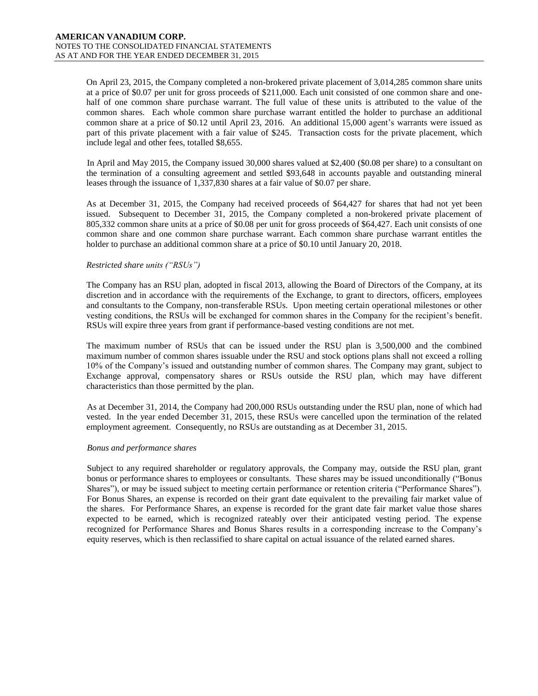On April 23, 2015, the Company completed a non-brokered private placement of 3,014,285 common share units at a price of \$0.07 per unit for gross proceeds of \$211,000. Each unit consisted of one common share and onehalf of one common share purchase warrant. The full value of these units is attributed to the value of the common shares. Each whole common share purchase warrant entitled the holder to purchase an additional common share at a price of \$0.12 until April 23, 2016. An additional 15,000 agent's warrants were issued as part of this private placement with a fair value of \$245. Transaction costs for the private placement, which include legal and other fees, totalled \$8,655.

In April and May 2015, the Company issued 30,000 shares valued at \$2,400 (\$0.08 per share) to a consultant on the termination of a consulting agreement and settled \$93,648 in accounts payable and outstanding mineral leases through the issuance of 1,337,830 shares at a fair value of \$0.07 per share.

As at December 31, 2015, the Company had received proceeds of \$64,427 for shares that had not yet been issued. Subsequent to December 31, 2015, the Company completed a non-brokered private placement of 805,332 common share units at a price of \$0.08 per unit for gross proceeds of \$64,427. Each unit consists of one common share and one common share purchase warrant. Each common share purchase warrant entitles the holder to purchase an additional common share at a price of \$0.10 until January 20, 2018.

## *Restricted share units ("RSUs")*

The Company has an RSU plan, adopted in fiscal 2013, allowing the Board of Directors of the Company, at its discretion and in accordance with the requirements of the Exchange, to grant to directors, officers, employees and consultants to the Company, non-transferable RSUs. Upon meeting certain operational milestones or other vesting conditions, the RSUs will be exchanged for common shares in the Company for the recipient's benefit. RSUs will expire three years from grant if performance-based vesting conditions are not met.

The maximum number of RSUs that can be issued under the RSU plan is 3,500,000 and the combined maximum number of common shares issuable under the RSU and stock options plans shall not exceed a rolling 10% of the Company's issued and outstanding number of common shares. The Company may grant, subject to Exchange approval, compensatory shares or RSUs outside the RSU plan, which may have different characteristics than those permitted by the plan.

As at December 31, 2014, the Company had 200,000 RSUs outstanding under the RSU plan, none of which had vested. In the year ended December 31, 2015, these RSUs were cancelled upon the termination of the related employment agreement. Consequently, no RSUs are outstanding as at December 31, 2015.

## *Bonus and performance shares*

Subject to any required shareholder or regulatory approvals, the Company may, outside the RSU plan, grant bonus or performance shares to employees or consultants. These shares may be issued unconditionally ("Bonus Shares"), or may be issued subject to meeting certain performance or retention criteria ("Performance Shares"). For Bonus Shares, an expense is recorded on their grant date equivalent to the prevailing fair market value of the shares. For Performance Shares, an expense is recorded for the grant date fair market value those shares expected to be earned, which is recognized rateably over their anticipated vesting period. The expense recognized for Performance Shares and Bonus Shares results in a corresponding increase to the Company's equity reserves, which is then reclassified to share capital on actual issuance of the related earned shares.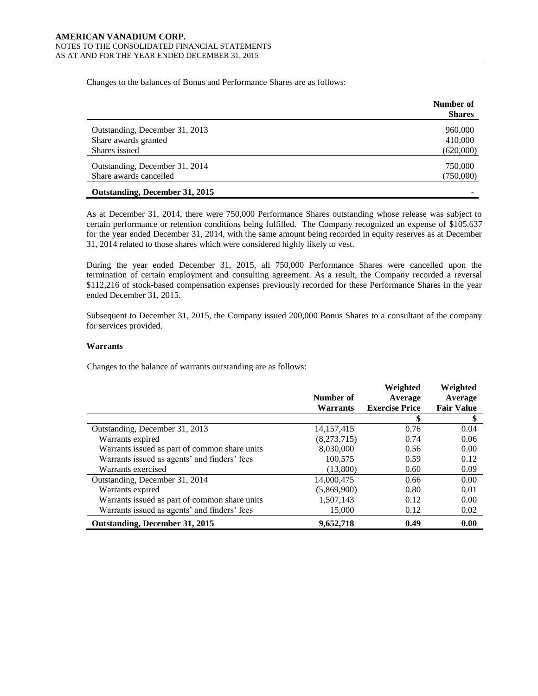Changes to the balances of Bonus and Performance Shares are as follows:

|                                | Number of<br><b>Shares</b> |
|--------------------------------|----------------------------|
| Outstanding, December 31, 2013 | 960,000                    |
| Share awards granted           | 410,000                    |
| Shares issued                  | (620,000)                  |
| Outstanding, December 31, 2014 | 750,000                    |
| Share awards cancelled         | (750,000)                  |
| Outstanding, December 31, 2015 |                            |

As at December 31, 2014, there were 750,000 Performance Shares outstanding whose release was subject to certain performance or retention conditions being fulfilled. The Company recognized an expense of \$105,637 for the year ended December 31, 2014, with the same amount being recorded in equity reserves as at December 31, 2014 related to those shares which were considered highly likely to vest.

During the year ended December 31, 2015, all 750,000 Performance Shares were cancelled upon the termination of certain employment and consulting agreement. As a result, the Company recorded a reversal \$112,216 of stock-based compensation expenses previously recorded for these Performance Shares in the year ended December 31, 2015.

Subsequent to December 31, 2015, the Company issued 200,000 Bonus Shares to a consultant of the company for services provided.

## **Warrants**

Changes to the balance of warrants outstanding are as follows:

|                                               |                 | Weighted              | Weighted          |
|-----------------------------------------------|-----------------|-----------------------|-------------------|
|                                               | Number of       | Average               | Average           |
|                                               | <b>Warrants</b> | <b>Exercise Price</b> | <b>Fair Value</b> |
|                                               |                 | S                     | S                 |
| Outstanding, December 31, 2013                | 14, 157, 415    | 0.76                  | 0.04              |
| Warrants expired                              | (8,273,715)     | 0.74                  | 0.06              |
| Warrants issued as part of common share units | 8,030,000       | 0.56                  | 0.00              |
| Warrants issued as agents' and finders' fees  | 100,575         | 0.59                  | 0.12              |
| Warrants exercised                            | (13,800)        | 0.60                  | 0.09              |
| Outstanding, December 31, 2014                | 14,000,475      | 0.66                  | 0.00              |
| Warrants expired                              | (5,869,900)     | 0.80                  | 0.01              |
| Warrants issued as part of common share units | 1,507,143       | 0.12                  | 0.00              |
| Warrants issued as agents' and finders' fees  | 15,000          | 0.12                  | 0.02              |
| Outstanding, December 31, 2015                | 9,652,718       | 0.49                  | 0.00              |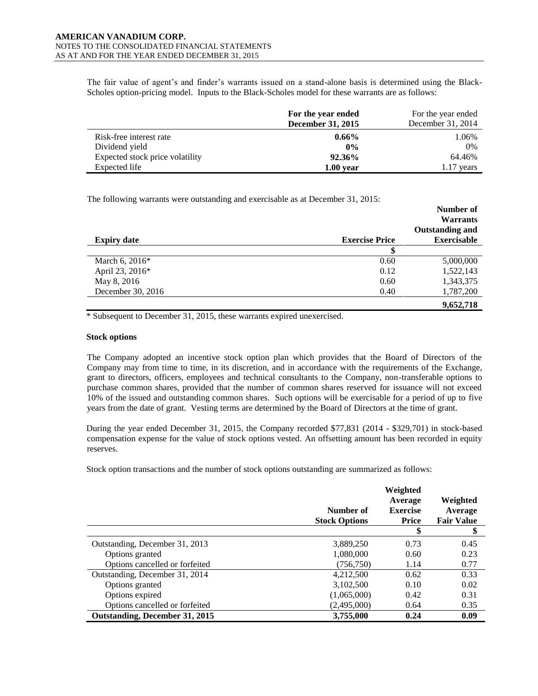The fair value of agent's and finder's warrants issued on a stand-alone basis is determined using the Black-Scholes option-pricing model. Inputs to the Black-Scholes model for these warrants are as follows:

|                                 | For the year ended<br>December 31, 2015 | For the year ended<br>December 31, 2014 |
|---------------------------------|-----------------------------------------|-----------------------------------------|
| Risk-free interest rate         | $0.66\%$                                | 1.06%                                   |
| Dividend yield                  | $0\%$                                   | 0%                                      |
| Expected stock price volatility | 92.36%                                  | 64.46%                                  |
| Expected life                   | $1.00$ vear                             | $1.17$ years                            |

The following warrants were outstanding and exercisable as at December 31, 2015:

|                    |                       | Number of              |
|--------------------|-----------------------|------------------------|
|                    |                       | <b>Warrants</b>        |
|                    |                       | <b>Outstanding and</b> |
| <b>Expiry date</b> | <b>Exercise Price</b> | <b>Exercisable</b>     |
|                    |                       |                        |
| March 6, 2016*     | 0.60                  | 5,000,000              |
| April 23, 2016*    | 0.12                  | 1,522,143              |
| May 8, 2016        | 0.60                  | 1,343,375              |
| December 30, 2016  | 0.40                  | 1,787,200              |
|                    |                       | 9,652,718              |

\* Subsequent to December 31, 2015, these warrants expired unexercised.

## **Stock options**

The Company adopted an incentive stock option plan which provides that the Board of Directors of the Company may from time to time, in its discretion, and in accordance with the requirements of the Exchange, grant to directors, officers, employees and technical consultants to the Company, non-transferable options to purchase common shares, provided that the number of common shares reserved for issuance will not exceed 10% of the issued and outstanding common shares. Such options will be exercisable for a period of up to five years from the date of grant. Vesting terms are determined by the Board of Directors at the time of grant.

During the year ended December 31, 2015, the Company recorded \$77,831 (2014 - \$329,701) in stock-based compensation expense for the value of stock options vested. An offsetting amount has been recorded in equity reserves.

Stock option transactions and the number of stock options outstanding are summarized as follows:

|                                | Number of<br><b>Stock Options</b> | Weighted<br>Average<br><b>Exercise</b><br><b>Price</b> | Weighted<br>Average<br><b>Fair Value</b> |
|--------------------------------|-----------------------------------|--------------------------------------------------------|------------------------------------------|
|                                |                                   | \$                                                     | \$                                       |
| Outstanding, December 31, 2013 | 3,889,250                         | 0.73                                                   | 0.45                                     |
| Options granted                | 1,080,000                         | 0.60                                                   | 0.23                                     |
| Options cancelled or forfeited | (756, 750)                        | 1.14                                                   | 0.77                                     |
| Outstanding, December 31, 2014 | 4,212,500                         | 0.62                                                   | 0.33                                     |
| Options granted                | 3,102,500                         | 0.10                                                   | 0.02                                     |
| Options expired                | (1,065,000)                       | 0.42                                                   | 0.31                                     |
| Options cancelled or forfeited | (2,495,000)                       | 0.64                                                   | 0.35                                     |
| Outstanding, December 31, 2015 | 3,755,000                         | 0.24                                                   | 0.09                                     |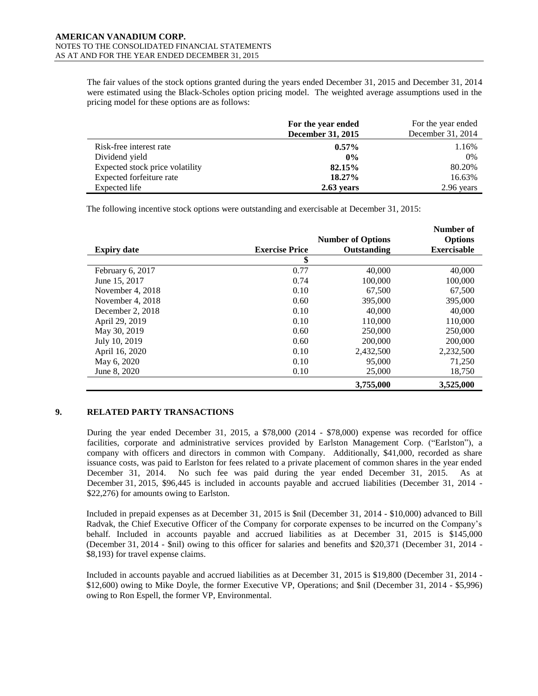The fair values of the stock options granted during the years ended December 31, 2015 and December 31, 2014 were estimated using the Black-Scholes option pricing model. The weighted average assumptions used in the pricing model for these options are as follows:

|                                 | For the year ended<br><b>December 31, 2015</b> | For the year ended<br>December 31, 2014 |
|---------------------------------|------------------------------------------------|-----------------------------------------|
| Risk-free interest rate         | $0.57\%$                                       | 1.16%                                   |
| Dividend yield                  | $0\%$                                          | 0%                                      |
| Expected stock price volatility | 82.15%                                         | 80.20%                                  |
| Expected forfeiture rate        | 18.27%                                         | 16.63%                                  |
| Expected life                   | $2.63$ years                                   | 2.96 years                              |

The following incentive stock options were outstanding and exercisable at December 31, 2015:

|                    |                       | <b>Number of Options</b> | Number of<br><b>Options</b> |
|--------------------|-----------------------|--------------------------|-----------------------------|
| <b>Expiry date</b> | <b>Exercise Price</b> | Outstanding              | <b>Exercisable</b>          |
|                    | \$                    |                          |                             |
| February 6, 2017   | 0.77                  | 40,000                   | 40,000                      |
| June 15, 2017      | 0.74                  | 100,000                  | 100,000                     |
| November 4, 2018   | 0.10                  | 67,500                   | 67,500                      |
| November 4, 2018   | 0.60                  | 395,000                  | 395,000                     |
| December 2, 2018   | 0.10                  | 40,000                   | 40,000                      |
| April 29, 2019     | 0.10                  | 110,000                  | 110,000                     |
| May 30, 2019       | 0.60                  | 250,000                  | 250,000                     |
| July 10, 2019      | 0.60                  | 200,000                  | 200,000                     |
| April 16, 2020     | 0.10                  | 2,432,500                | 2,232,500                   |
| May 6, 2020        | 0.10                  | 95,000                   | 71,250                      |
| June 8, 2020       | 0.10                  | 25,000                   | 18,750                      |
|                    |                       | 3,755,000                | 3,525,000                   |

## **9. RELATED PARTY TRANSACTIONS**

During the year ended December 31, 2015, a \$78,000 (2014 - \$78,000) expense was recorded for office facilities, corporate and administrative services provided by Earlston Management Corp. ("Earlston"), a company with officers and directors in common with Company. Additionally, \$41,000, recorded as share issuance costs, was paid to Earlston for fees related to a private placement of common shares in the year ended December 31, 2014. No such fee was paid during the year ended December 31, 2015. As at December 31, 2015, \$96,445 is included in accounts payable and accrued liabilities (December 31, 2014 - \$22,276) for amounts owing to Earlston.

Included in prepaid expenses as at December 31, 2015 is \$nil (December 31, 2014 - \$10,000) advanced to Bill Radvak, the Chief Executive Officer of the Company for corporate expenses to be incurred on the Company's behalf. Included in accounts payable and accrued liabilities as at December 31, 2015 is \$145,000 (December 31, 2014 - \$nil) owing to this officer for salaries and benefits and \$20,371 (December 31, 2014 - \$8,193) for travel expense claims.

Included in accounts payable and accrued liabilities as at December 31, 2015 is \$19,800 (December 31, 2014 - \$12,600) owing to Mike Doyle, the former Executive VP, Operations; and \$nil (December 31, 2014 - \$5,996) owing to Ron Espell, the former VP, Environmental.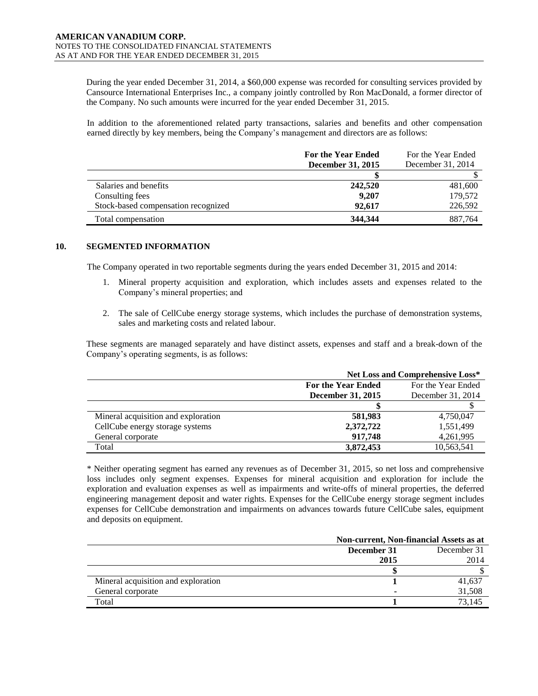During the year ended December 31, 2014, a \$60,000 expense was recorded for consulting services provided by Cansource International Enterprises Inc., a company jointly controlled by Ron MacDonald, a former director of the Company. No such amounts were incurred for the year ended December 31, 2015.

In addition to the aforementioned related party transactions, salaries and benefits and other compensation earned directly by key members, being the Company's management and directors are as follows:

|                                     | <b>For the Year Ended</b><br>December 31, 2015 | For the Year Ended<br>December 31, 2014 |
|-------------------------------------|------------------------------------------------|-----------------------------------------|
|                                     |                                                |                                         |
| Salaries and benefits               | 242,520                                        | 481,600                                 |
| Consulting fees                     | 9.207                                          | 179,572                                 |
| Stock-based compensation recognized | 92.617                                         | 226,592                                 |
| Total compensation                  | 344, 344                                       | 887,764                                 |

## **10. SEGMENTED INFORMATION**

The Company operated in two reportable segments during the years ended December 31, 2015 and 2014:

- 1. Mineral property acquisition and exploration, which includes assets and expenses related to the Company's mineral properties; and
- 2. The sale of CellCube energy storage systems, which includes the purchase of demonstration systems, sales and marketing costs and related labour.

These segments are managed separately and have distinct assets, expenses and staff and a break-down of the Company's operating segments, is as follows:

|                                     | <b>Net Loss and Comprehensive Loss*</b>  |                   |  |
|-------------------------------------|------------------------------------------|-------------------|--|
|                                     | For the Year Ended<br>For the Year Ended |                   |  |
|                                     | December 31, 2015                        | December 31, 2014 |  |
|                                     |                                          |                   |  |
| Mineral acquisition and exploration | 581,983                                  | 4,750,047         |  |
| CellCube energy storage systems     | 2,372,722                                | 1,551,499         |  |
| General corporate                   | 917,748                                  | 4,261,995         |  |
| Total                               | 3,872,453                                | 10,563,541        |  |

\* Neither operating segment has earned any revenues as of December 31, 2015, so net loss and comprehensive loss includes only segment expenses. Expenses for mineral acquisition and exploration for include the exploration and evaluation expenses as well as impairments and write-offs of mineral properties, the deferred engineering management deposit and water rights. Expenses for the CellCube energy storage segment includes expenses for CellCube demonstration and impairments on advances towards future CellCube sales, equipment and deposits on equipment.

|                                     | Non-current, Non-financial Assets as at |        |  |
|-------------------------------------|-----------------------------------------|--------|--|
|                                     | December 31<br>December 31              |        |  |
|                                     | 2015                                    | 2014   |  |
|                                     |                                         |        |  |
| Mineral acquisition and exploration |                                         | 41,637 |  |
| General corporate                   | ۰                                       | 31,508 |  |
| Total                               |                                         | 73.145 |  |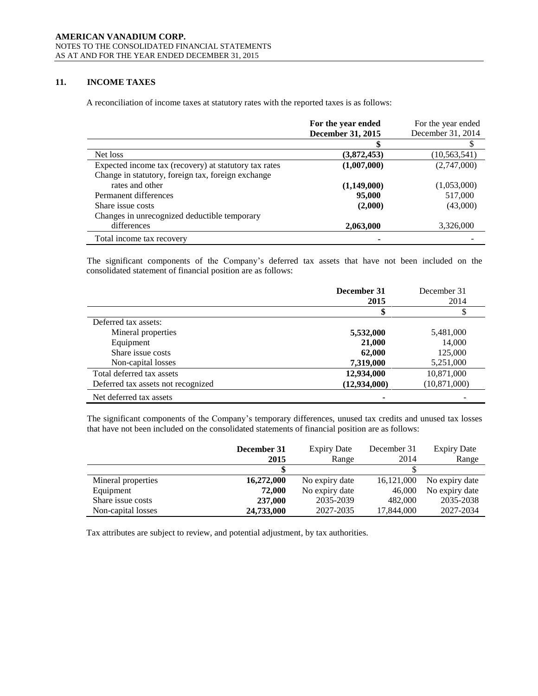## **11. INCOME TAXES**

A reconciliation of income taxes at statutory rates with the reported taxes is as follows:

|                                                       | For the year ended<br><b>December 31, 2015</b> | For the year ended<br>December 31, 2014 |
|-------------------------------------------------------|------------------------------------------------|-----------------------------------------|
|                                                       |                                                | S                                       |
| Net loss                                              | (3,872,453)                                    | (10, 563, 541)                          |
| Expected income tax (recovery) at statutory tax rates | (1,007,000)                                    | (2,747,000)                             |
| Change in statutory, foreign tax, foreign exchange    |                                                |                                         |
| rates and other                                       | (1,149,000)                                    | (1,053,000)                             |
| Permanent differences                                 | 95,000                                         | 517,000                                 |
| Share issue costs                                     | (2,000)                                        | (43,000)                                |
| Changes in unrecognized deductible temporary          |                                                |                                         |
| differences                                           | 2,063,000                                      | 3,326,000                               |
| Total income tax recovery                             |                                                |                                         |

The significant components of the Company's deferred tax assets that have not been included on the consolidated statement of financial position are as follows:

|                                    | December 31<br>2015 | December 31<br>2014 |
|------------------------------------|---------------------|---------------------|
|                                    |                     |                     |
| Deferred tax assets:               |                     |                     |
| Mineral properties                 | 5,532,000           | 5,481,000           |
| Equipment                          | 21,000              | 14,000              |
| Share issue costs                  | 62,000              | 125,000             |
| Non-capital losses                 | 7,319,000           | 5,251,000           |
| Total deferred tax assets          | 12,934,000          | 10,871,000          |
| Deferred tax assets not recognized | (12, 934, 000)      | (10, 871, 000)      |
| Net deferred tax assets            | ۰                   |                     |

The significant components of the Company's temporary differences, unused tax credits and unused tax losses that have not been included on the consolidated statements of financial position are as follows:

|                    | December 31 | <b>Expiry Date</b> | December 31 | <b>Expiry Date</b> |
|--------------------|-------------|--------------------|-------------|--------------------|
|                    | 2015        | Range              | 2014        | Range              |
|                    |             |                    |             |                    |
| Mineral properties | 16,272,000  | No expiry date     | 16,121,000  | No expiry date     |
| Equipment          | 72,000      | No expiry date     | 46,000      | No expiry date     |
| Share issue costs  | 237,000     | 2035-2039          | 482,000     | 2035-2038          |
| Non-capital losses | 24,733,000  | 2027-2035          | 17,844,000  | 2027-2034          |

Tax attributes are subject to review, and potential adjustment, by tax authorities.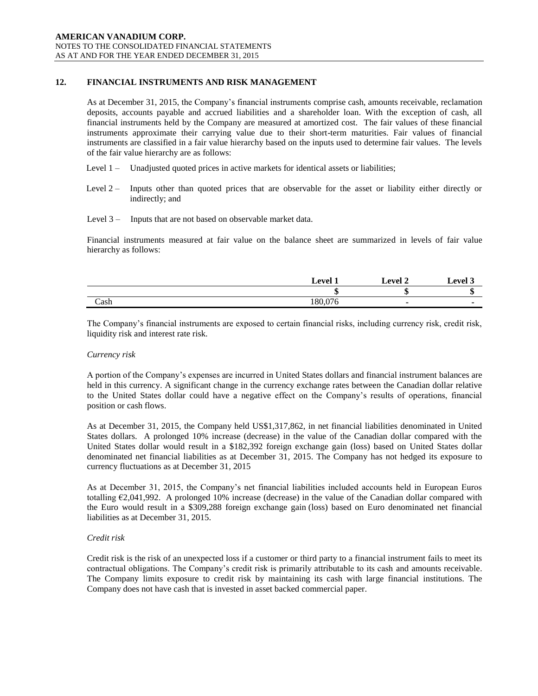## **12. FINANCIAL INSTRUMENTS AND RISK MANAGEMENT**

As at December 31, 2015, the Company's financial instruments comprise cash, amounts receivable, reclamation deposits, accounts payable and accrued liabilities and a shareholder loan. With the exception of cash, all financial instruments held by the Company are measured at amortized cost. The fair values of these financial instruments approximate their carrying value due to their short-term maturities. Fair values of financial instruments are classified in a fair value hierarchy based on the inputs used to determine fair values. The levels of the fair value hierarchy are as follows:

- Level 1 Unadjusted quoted prices in active markets for identical assets or liabilities;
- Level 2 Inputs other than quoted prices that are observable for the asset or liability either directly or indirectly; and
- Level 3 Inputs that are not based on observable market data.

Financial instruments measured at fair value on the balance sheet are summarized in levels of fair value hierarchy as follows:

|      | $_{\alpha \text{val}}$ 1    | $\alpha$ vel 7 | <b>Avel</b> |
|------|-----------------------------|----------------|-------------|
|      |                             | æ<br>w         |             |
| Cash | $\sim$<br>$\Omega$<br>100.U |                |             |

The Company's financial instruments are exposed to certain financial risks, including currency risk, credit risk, liquidity risk and interest rate risk.

## *Currency risk*

A portion of the Company's expenses are incurred in United States dollars and financial instrument balances are held in this currency. A significant change in the currency exchange rates between the Canadian dollar relative to the United States dollar could have a negative effect on the Company's results of operations, financial position or cash flows.

As at December 31, 2015, the Company held US\$1,317,862, in net financial liabilities denominated in United States dollars. A prolonged 10% increase (decrease) in the value of the Canadian dollar compared with the United States dollar would result in a \$182,392 foreign exchange gain (loss) based on United States dollar denominated net financial liabilities as at December 31, 2015. The Company has not hedged its exposure to currency fluctuations as at December 31, 2015

As at December 31, 2015, the Company's net financial liabilities included accounts held in European Euros totalling  $\epsilon$ 2,041,992. A prolonged 10% increase (decrease) in the value of the Canadian dollar compared with the Euro would result in a \$309,288 foreign exchange gain (loss) based on Euro denominated net financial liabilities as at December 31, 2015.

## *Credit risk*

Credit risk is the risk of an unexpected loss if a customer or third party to a financial instrument fails to meet its contractual obligations. The Company's credit risk is primarily attributable to its cash and amounts receivable. The Company limits exposure to credit risk by maintaining its cash with large financial institutions. The Company does not have cash that is invested in asset backed commercial paper.